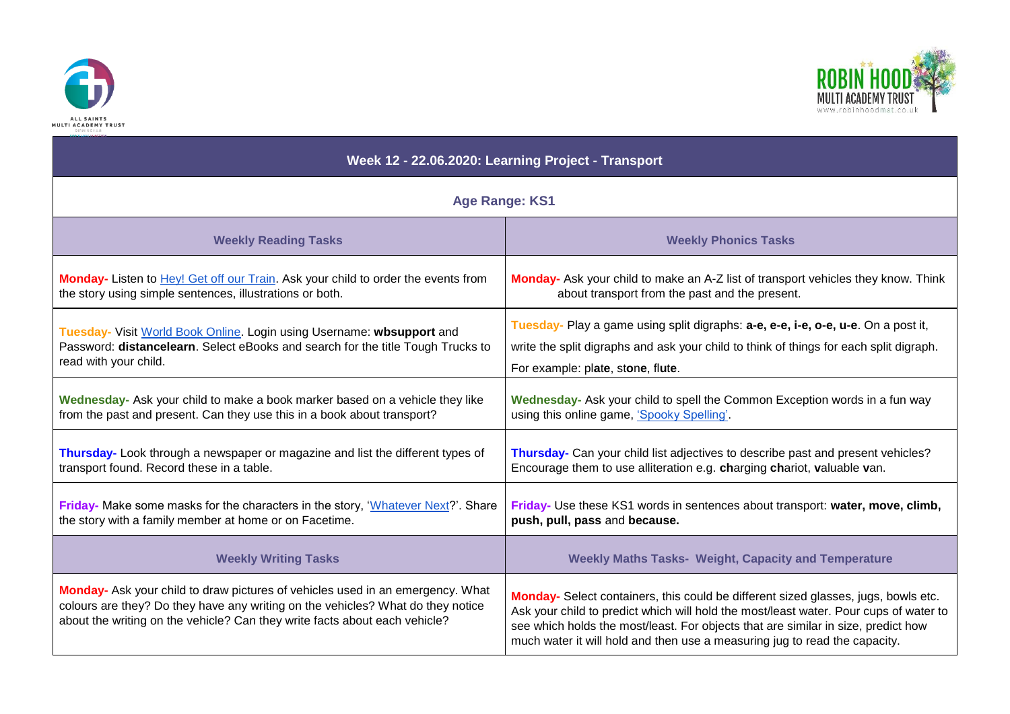



| Week 12 - 22.06.2020: Learning Project - Transport                                                                                                                                                                                              |                                                                                                                                                                                                                                                                                                                                                |
|-------------------------------------------------------------------------------------------------------------------------------------------------------------------------------------------------------------------------------------------------|------------------------------------------------------------------------------------------------------------------------------------------------------------------------------------------------------------------------------------------------------------------------------------------------------------------------------------------------|
| <b>Age Range: KS1</b>                                                                                                                                                                                                                           |                                                                                                                                                                                                                                                                                                                                                |
| <b>Weekly Reading Tasks</b>                                                                                                                                                                                                                     | <b>Weekly Phonics Tasks</b>                                                                                                                                                                                                                                                                                                                    |
| Monday- Listen to Hey! Get off our Train. Ask your child to order the events from                                                                                                                                                               | Monday- Ask your child to make an A-Z list of transport vehicles they know. Think                                                                                                                                                                                                                                                              |
| the story using simple sentences, illustrations or both.                                                                                                                                                                                        | about transport from the past and the present.                                                                                                                                                                                                                                                                                                 |
| Tuesday- Visit World Book Online. Login using Username: wbsupport and                                                                                                                                                                           | Tuesday- Play a game using split digraphs: a-e, e-e, i-e, o-e, u-e. On a post it,                                                                                                                                                                                                                                                              |
| Password: distancelearn. Select eBooks and search for the title Tough Trucks to                                                                                                                                                                 | write the split digraphs and ask your child to think of things for each split digraph.                                                                                                                                                                                                                                                         |
| read with your child.                                                                                                                                                                                                                           | For example: plate, stone, flute.                                                                                                                                                                                                                                                                                                              |
| Wednesday- Ask your child to make a book marker based on a vehicle they like                                                                                                                                                                    | Wednesday- Ask your child to spell the Common Exception words in a fun way                                                                                                                                                                                                                                                                     |
| from the past and present. Can they use this in a book about transport?                                                                                                                                                                         | using this online game, 'Spooky Spelling'.                                                                                                                                                                                                                                                                                                     |
| Thursday- Look through a newspaper or magazine and list the different types of                                                                                                                                                                  | Thursday- Can your child list adjectives to describe past and present vehicles?                                                                                                                                                                                                                                                                |
| transport found. Record these in a table.                                                                                                                                                                                                       | Encourage them to use alliteration e.g. charging chariot, valuable van.                                                                                                                                                                                                                                                                        |
| Friday- Make some masks for the characters in the story, 'Whatever Next?'. Share                                                                                                                                                                | Friday- Use these KS1 words in sentences about transport: water, move, climb,                                                                                                                                                                                                                                                                  |
| the story with a family member at home or on Facetime.                                                                                                                                                                                          | push, pull, pass and because.                                                                                                                                                                                                                                                                                                                  |
| <b>Weekly Writing Tasks</b>                                                                                                                                                                                                                     | <b>Weekly Maths Tasks- Weight, Capacity and Temperature</b>                                                                                                                                                                                                                                                                                    |
| Monday- Ask your child to draw pictures of vehicles used in an emergency. What<br>colours are they? Do they have any writing on the vehicles? What do they notice<br>about the writing on the vehicle? Can they write facts about each vehicle? | Monday- Select containers, this could be different sized glasses, jugs, bowls etc.<br>Ask your child to predict which will hold the most/least water. Pour cups of water to<br>see which holds the most/least. For objects that are similar in size, predict how<br>much water it will hold and then use a measuring jug to read the capacity. |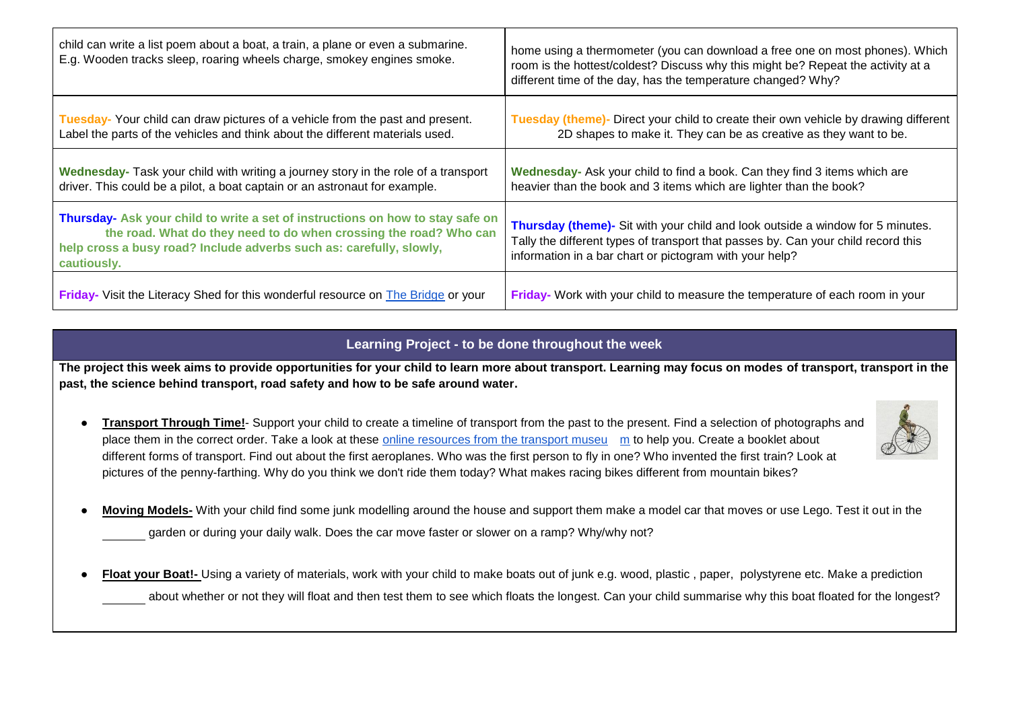| child can write a list poem about a boat, a train, a plane or even a submarine.<br>E.g. Wooden tracks sleep, roaring wheels charge, smokey engines smoke.                                                                                 | home using a thermometer (you can download a free one on most phones). Which<br>room is the hottest/coldest? Discuss why this might be? Repeat the activity at a<br>different time of the day, has the temperature changed? Why? |
|-------------------------------------------------------------------------------------------------------------------------------------------------------------------------------------------------------------------------------------------|----------------------------------------------------------------------------------------------------------------------------------------------------------------------------------------------------------------------------------|
| Tuesday-Your child can draw pictures of a vehicle from the past and present.<br>Label the parts of the vehicles and think about the different materials used.                                                                             | Tuesday (theme)- Direct your child to create their own vehicle by drawing different<br>2D shapes to make it. They can be as creative as they want to be.                                                                         |
| Wednesday- Task your child with writing a journey story in the role of a transport<br>driver. This could be a pilot, a boat captain or an astronaut for example.                                                                          | Wednesday- Ask your child to find a book. Can they find 3 items which are<br>heavier than the book and 3 items which are lighter than the book?                                                                                  |
| Thursday- Ask your child to write a set of instructions on how to stay safe on<br>the road. What do they need to do when crossing the road? Who can<br>help cross a busy road? Include adverbs such as: carefully, slowly,<br>cautiously. | Thursday (theme)- Sit with your child and look outside a window for 5 minutes.<br>Tally the different types of transport that passes by. Can your child record this<br>information in a bar chart or pictogram with your help?   |
| Friday- Visit the Literacy Shed for this wonderful resource on The Bridge or your                                                                                                                                                         | Friday- Work with your child to measure the temperature of each room in your                                                                                                                                                     |

## **Learning Project - to be done throughout the week**

**The project this week aims to provide opportunities for your child to learn more about transport. Learning may focus on modes of transport, transport in the past, the science behind transport, road safety and how to be safe around water.** 

- **Transport Through Time!** Support your child to create a timeline of transport from the past to the present. Find a selection of photographs and place them in the correct order. Take a look at these [online resources from the transport museu](https://www.transport-museum.com/learning/learning_from_home.aspx) [m](https://www.transport-museum.com/learning/learning_from_home.aspx) to help you. Create a booklet about different forms of transport. Find out about the first aeroplanes. Who was the first person to fly in one? Who invented the first train? Look at pictures of the penny-farthing. Why do you think we don't ride them today? What makes racing bikes different from mountain bikes?
- Moving Models- With your child find some junk modelling around the house and support them make a model car that moves or use Lego. Test it out in the garden or during your daily walk. Does the car move faster or slower on a ramp? Why/why not?
- Float your Boat!- Using a variety of materials, work with your child to make boats out of junk e.g. wood, plastic, paper, polystyrene etc. Make a prediction about whether or not they will float and then test them to see which floats the longest. Can your child summarise why this boat floated for the longest?